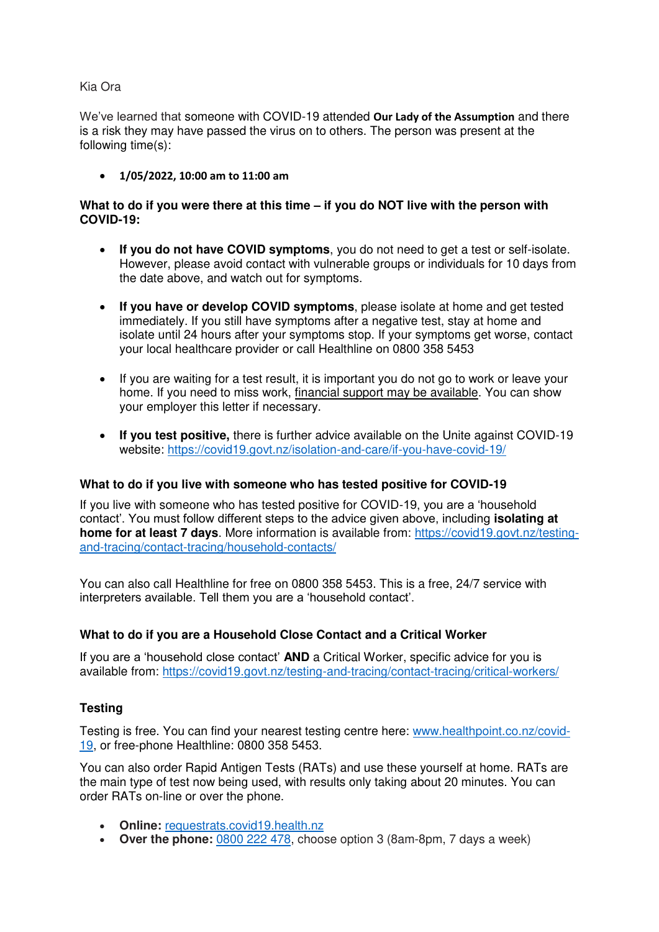## Kia Ora

We've learned that someone with COVID-19 attended **Our Lady of the Assumption** and there is a risk they may have passed the virus on to others. The person was present at the following time(s):

**1/05/2022, 10:00 am to 11:00 am**

## **What to do if you were there at this time – if you do NOT live with the person with COVID-19:**

- **If you do not have COVID symptoms**, you do not need to get a test or self-isolate. However, please avoid contact with vulnerable groups or individuals for 10 days from the date above, and watch out for symptoms.
- **If you have or develop COVID symptoms**, please isolate at home and get tested immediately. If you still have symptoms after a negative test, stay at home and isolate until 24 hours after your symptoms stop. If your symptoms get worse, contact your local healthcare provider or call Healthline on 0800 358 5453
- If you are waiting for a test result, it is important you do not go to work or leave your home. If you need to miss work, [financial support](https://covid19.govt.nz/isolation-and-care/financial-support/) may be available. You can show your employer this letter if necessary.
- **If you test positive,** there is further advice available on the Unite against COVID-19 website:<https://covid19.govt.nz/isolation-and-care/if-you-have-covid-19/>

### **What to do if you live with someone who has tested positive for COVID-19**

If you live with someone who has tested positive for COVID-19, you are a 'household contact'. You must follow different steps to the advice given above, including **isolating at home for at least 7 days**. More information is available from: [https://covid19.govt.nz/testing](https://covid19.govt.nz/testing-and-tracing/contact-tracing/household-contacts/)[and-tracing/contact-tracing/household-contacts/](https://covid19.govt.nz/testing-and-tracing/contact-tracing/household-contacts/) 

You can also call Healthline for free on [0800 358 5453.](https://www.healthy.org.nz/) This is a free, 24/7 service with interpreters available. Tell them you are a 'household contact'.

# **What to do if you are a Household Close Contact and a Critical Worker**

If you are a 'household close contact' **AND** a Critical Worker, specific advice for you is available from: https://covid19.govt.nz/testing-and-tracing/contact-tracing/critical-workers/

# **Testing**

Testing is free. You can find your nearest testing centre here: [www.healthpoint.co.nz/covid-](http://www.healthpoint.co.nz/covid-19)[19,](http://www.healthpoint.co.nz/covid-19) or free-phone Healthline: 0800 358 5453.

You can also order Rapid Antigen Tests (RATs) and use these yourself at home. RATs are the main type of test now being used, with results only taking about 20 minutes. You can order RATs on-line or over the phone.

- **Online:** [requestrats.covid19.health.nz](https://requestrats.covid19.health.nz/?_ga=2.40362082.1766818427.1646184998-252780460.1631150959&_gac=1.216737442.1644796037.EAIaIQobChMI8bvf1e799QIV_pNmAh11kQpLEAAYASAAEgK8QvD_BwE)
- Over the phone: [0800 222 478,](tel:0800222478) choose option 3 (8am-8pm, 7 days a week)